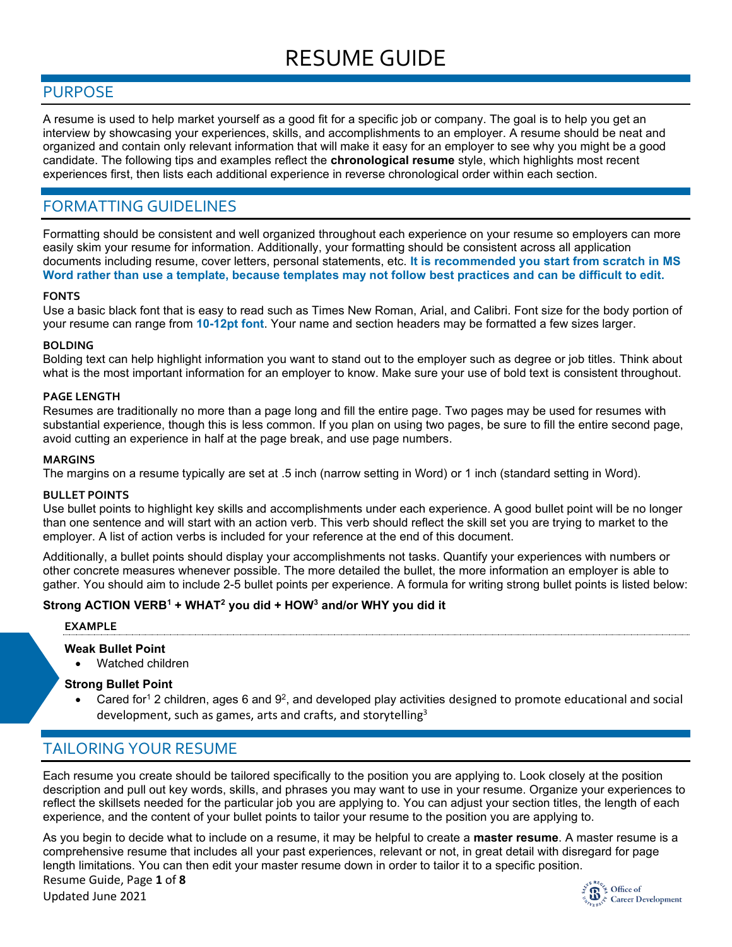# RESUME GUIDE

### PURPOSE

A resume is used to help market yourself as a good fit for a specific job or company. The goal is to help you get an interview by showcasing your experiences, skills, and accomplishments to an employer. A resume should be neat and organized and contain only relevant information that will make it easy for an employer to see why you might be a good candidate. The following tips and examples reflect the **chronological resume** style, which highlights most recent experiences first, then lists each additional experience in reverse chronological order within each section.

# FORMATTING GUIDELINES

Formatting should be consistent and well organized throughout each experience on your resume so employers can more easily skim your resume for information. Additionally, your formatting should be consistent across all application documents including resume, cover letters, personal statements, etc. **It is recommended you start from scratch in MS Word rather than use a template, because templates may not follow best practices and can be difficult to edit.**

#### **FONTS**

Use a basic black font that is easy to read such as Times New Roman, Arial, and Calibri. Font size for the body portion of your resume can range from **10-12pt font**. Your name and section headers may be formatted a few sizes larger.

#### **BOLDING**

Bolding text can help highlight information you want to stand out to the employer such as degree or job titles. Think about what is the most important information for an employer to know. Make sure your use of bold text is consistent throughout.

#### **PAGE LENGTH**

Resumes are traditionally no more than a page long and fill the entire page. Two pages may be used for resumes with substantial experience, though this is less common. If you plan on using two pages, be sure to fill the entire second page, avoid cutting an experience in half at the page break, and use page numbers.

#### **MARGINS**

The margins on a resume typically are set at .5 inch (narrow setting in Word) or 1 inch (standard setting in Word).

#### **BULLET POINTS**

Use bullet points to highlight key skills and accomplishments under each experience. A good bullet point will be no longer than one sentence and will start with an action verb. This verb should reflect the skill set you are trying to market to the employer. A list of action verbs is included for your reference at the end of this document.

Additionally, a bullet points should display your accomplishments not tasks. Quantify your experiences with numbers or other concrete measures whenever possible. The more detailed the bullet, the more information an employer is able to gather. You should aim to include 2-5 bullet points per experience. A formula for writing strong bullet points is listed below:

#### **Strong ACTION VERB<sup>1</sup> + WHAT<sup>2</sup> you did + HOW<sup>3</sup> and/or WHY you did it**

#### **EXAMPLE**

#### **Weak Bullet Point**

• Watched children

#### **Strong Bullet Point**

• Cared for<sup>1</sup> 2 children, ages 6 and 9<sup>2</sup>, and developed play activities designed to promote educational and social development, such as games, arts and crafts, and storytelling<sup>3</sup>

# TAILORING YOUR RESUME

Each resume you create should be tailored specifically to the position you are applying to. Look closely at the position description and pull out key words, skills, and phrases you may want to use in your resume. Organize your experiences to reflect the skillsets needed for the particular job you are applying to. You can adjust your section titles, the length of each experience, and the content of your bullet points to tailor your resume to the position you are applying to.

Resume Guide, Page **1** of **8** As you begin to decide what to include on a resume, it may be helpful to create a **master resume**. A master resume is a comprehensive resume that includes all your past experiences, relevant or not, in great detail with disregard for page length limitations. You can then edit your master resume down in order to tailor it to a specific position.

Updated June 2021

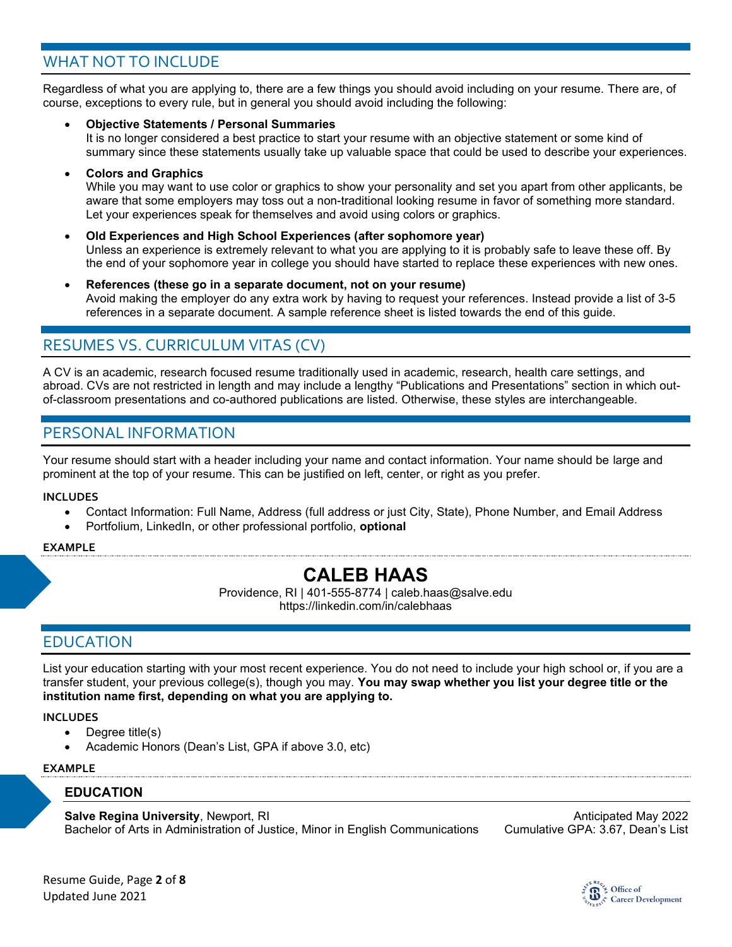# WHAT NOT TO INCLUDE

Regardless of what you are applying to, there are a few things you should avoid including on your resume. There are, of course, exceptions to every rule, but in general you should avoid including the following:

• **Objective Statements / Personal Summaries**

It is no longer considered a best practice to start your resume with an objective statement or some kind of summary since these statements usually take up valuable space that could be used to describe your experiences.

• **Colors and Graphics**

While you may want to use color or graphics to show your personality and set you apart from other applicants, be aware that some employers may toss out a non-traditional looking resume in favor of something more standard. Let your experiences speak for themselves and avoid using colors or graphics.

- **Old Experiences and High School Experiences (after sophomore year)** Unless an experience is extremely relevant to what you are applying to it is probably safe to leave these off. By the end of your sophomore year in college you should have started to replace these experiences with new ones.
- **References (these go in a separate document, not on your resume)** Avoid making the employer do any extra work by having to request your references. Instead provide a list of 3-5 references in a separate document. A sample reference sheet is listed towards the end of this guide.

# RESUMES VS. CURRICULUM VITAS (CV)

A CV is an academic, research focused resume traditionally used in academic, research, health care settings, and abroad. CVs are not restricted in length and may include a lengthy "Publications and Presentations" section in which outof-classroom presentations and co-authored publications are listed. Otherwise, these styles are interchangeable.

# PERSONAL INFORMATION

Your resume should start with a header including your name and contact information. Your name should be large and prominent at the top of your resume. This can be justified on left, center, or right as you prefer.

#### **INCLUDES**

- Contact Information: Full Name, Address (full address or just City, State), Phone Number, and Email Address
- Portfolium, LinkedIn, or other professional portfolio, **optional**

#### **EXAMPLE**

# **CALEB HAAS**

Providence, RI | 401-555-8774 | caleb.haas@salve.edu https://linkedin.com/in/calebhaas

# EDUCATION

List your education starting with your most recent experience. You do not need to include your high school or, if you are a transfer student, your previous college(s), though you may. **You may swap whether you list your degree title or the institution name first, depending on what you are applying to.**

#### **INCLUDES**

- Degree title(s)
- Academic Honors (Dean's List, GPA if above 3.0, etc)

#### **EXAMPLE**

#### **EDUCATION**

**Salve Regina University**, Newport, RI Anticipated May 2022 Bachelor of Arts in Administration of Justice, Minor in English Communications Cumulative GPA: 3.67, Dean's List

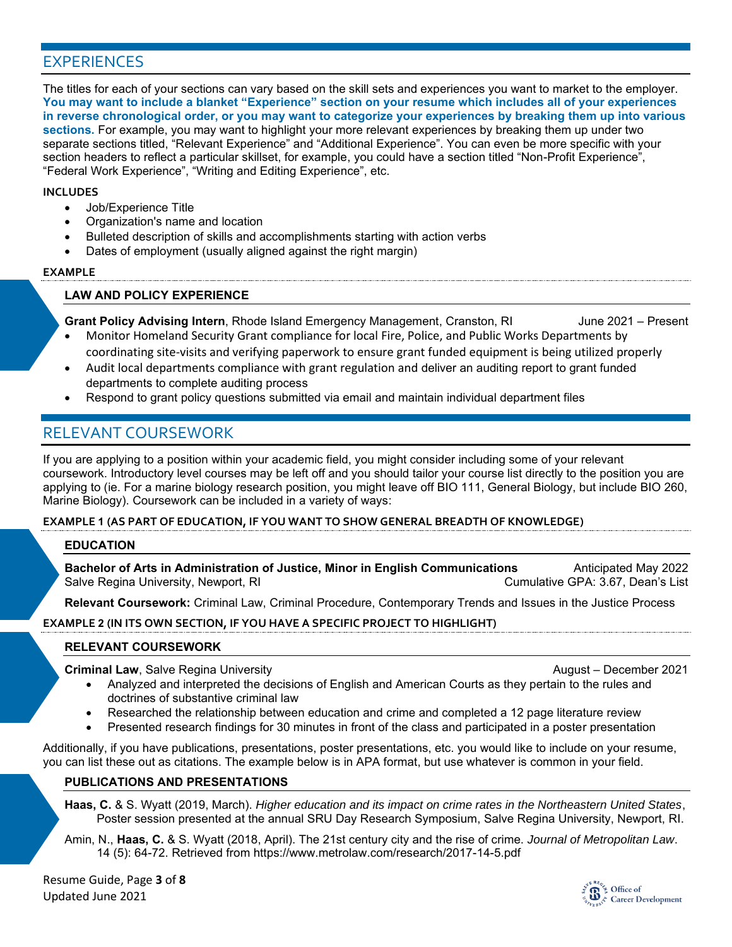# EXPERIENCES

The titles for each of your sections can vary based on the skill sets and experiences you want to market to the employer. **You may want to include a blanket "Experience" section on your resume which includes all of your experiences in reverse chronological order, or you may want to categorize your experiences by breaking them up into various sections.** For example, you may want to highlight your more relevant experiences by breaking them up under two separate sections titled, "Relevant Experience" and "Additional Experience". You can even be more specific with your section headers to reflect a particular skillset, for example, you could have a section titled "Non-Profit Experience", "Federal Work Experience", "Writing and Editing Experience", etc.

#### **INCLUDES**

- Job/Experience Title
- Organization's name and location
- Bulleted description of skills and accomplishments starting with action verbs
- Dates of employment (usually aligned against the right margin)

#### **EXAMPLE**

#### **LAW AND POLICY EXPERIENCE**

**Grant Policy Advising Intern**, Rhode Island Emergency Management, Cranston, RI June 2021 – Present

- Monitor Homeland Security Grant compliance for local Fire, Police, and Public Works Departments by coordinating site-visits and verifying paperwork to ensure grant funded equipment is being utilized properly
- Audit local departments compliance with grant regulation and deliver an auditing report to grant funded departments to complete auditing process
- Respond to grant policy questions submitted via email and maintain individual department files

# RELEVANT COURSEWORK

If you are applying to a position within your academic field, you might consider including some of your relevant coursework. Introductory level courses may be left off and you should tailor your course list directly to the position you are applying to (ie. For a marine biology research position, you might leave off BIO 111, General Biology, but include BIO 260, Marine Biology). Coursework can be included in a variety of ways:

#### **EXAMPLE 1 (AS PART OF EDUCATION, IF YOU WANT TO SHOW GENERAL BREADTH OF KNOWLEDGE)**

#### **EDUCATION**

**Bachelor of Arts in Administration of Justice, Minor in English Communications** Anticipated May 2022 Salve Regina University, Newport, RI Cumulative GPA: 3.67, Dean's List

**Relevant Coursework:** Criminal Law, Criminal Procedure, Contemporary Trends and Issues in the Justice Process

#### **EXAMPLE 2 (IN ITS OWN SECTION, IF YOU HAVE A SPECIFIC PROJECT TO HIGHLIGHT)**

#### **RELEVANT COURSEWORK**

**Criminal Law**, Salve Regina University **August – December 2021** August – December 2021

- Analyzed and interpreted the decisions of English and American Courts as they pertain to the rules and doctrines of substantive criminal law
- Researched the relationship between education and crime and completed a 12 page literature review
- Presented research findings for 30 minutes in front of the class and participated in a poster presentation

Additionally, if you have publications, presentations, poster presentations, etc. you would like to include on your resume, you can list these out as citations. The example below is in APA format, but use whatever is common in your field.

#### **PUBLICATIONS AND PRESENTATIONS**

**Haas, C.** & S. Wyatt (2019, March). *Higher education and its impact on crime rates in the Northeastern United States*, Poster session presented at the annual SRU Day Research Symposium, Salve Regina University, Newport, RI.

Amin, N., **Haas, C.** & S. Wyatt (2018, April). The 21st century city and the rise of crime. *Journal of Metropolitan Law*. 14 (5): 64-72. Retrieved from https://www.metrolaw.com/research/2017-14-5.pdf

Resume Guide, Page **3** of **8** Updated June 2021

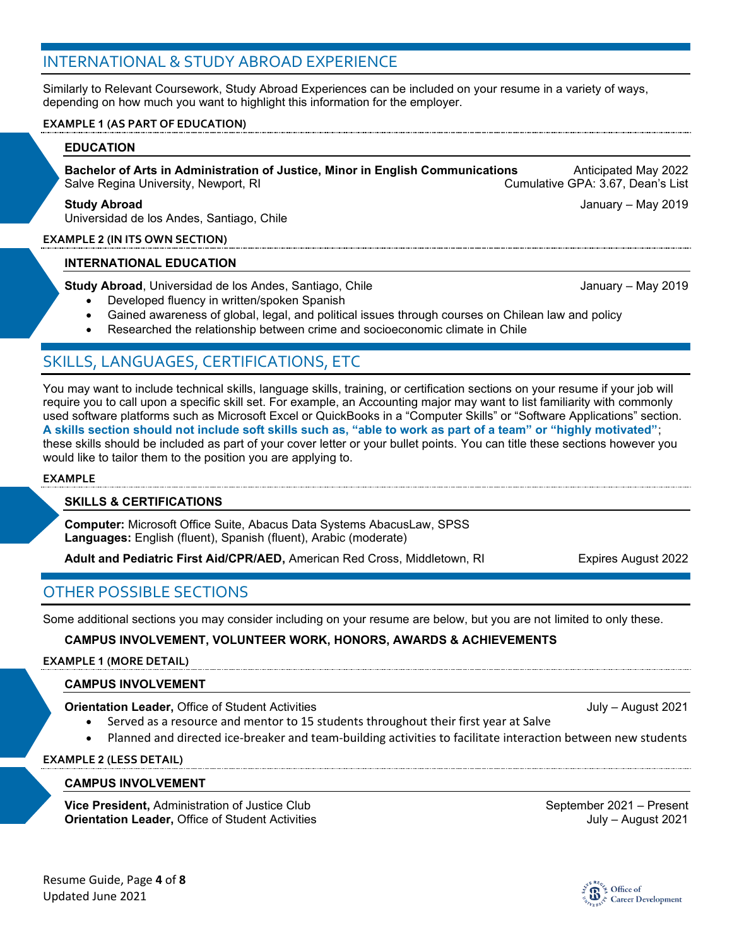# INTERNATIONAL & STUDY ABROAD EXPERIENCE

Similarly to Relevant Coursework, Study Abroad Experiences can be included on your resume in a variety of ways, depending on how much you want to highlight this information for the employer.

#### **EXAMPLE 1 (AS PART OF EDUCATION)**

#### **EDUCATION**

Bachelor of Arts in Administration of Justice, Minor in English Communications **Anticipated May 2022**<br>Salve Regina University, Newport, RI<br>List Salve Regina University, Newport, RI

#### **Study Abroad** January – May 2019

Universidad de los Andes, Santiago, Chile

#### **EXAMPLE 2 (IN ITS OWN SECTION)**

#### **INTERNATIONAL EDUCATION**

**Study Abroad**, Universidad de los Andes, Santiago, Chile January – May 2019

- Developed fluency in written/spoken Spanish
- Gained awareness of global, legal, and political issues through courses on Chilean law and policy
- Researched the relationship between crime and socioeconomic climate in Chile

# SKILLS, LANGUAGES, CERTIFICATIONS, ETC

You may want to include technical skills, language skills, training, or certification sections on your resume if your job will require you to call upon a specific skill set. For example, an Accounting major may want to list familiarity with commonly used software platforms such as Microsoft Excel or QuickBooks in a "Computer Skills" or "Software Applications" section. **A skills section should not include soft skills such as, "able to work as part of a team" or "highly motivated"**; these skills should be included as part of your cover letter or your bullet points. You can title these sections however you would like to tailor them to the position you are applying to.

#### **EXAMPLE**

#### **SKILLS & CERTIFICATIONS**

**Computer:** Microsoft Office Suite, Abacus Data Systems AbacusLaw, SPSS **Languages:** English (fluent), Spanish (fluent), Arabic (moderate)

**Adult and Pediatric First Aid/CPR/AED, American Red Cross, Middletown, RI Expires August 2022** 

### OTHER POSSIBLE SECTIONS

Some additional sections you may consider including on your resume are below, but you are not limited to only these.

**CAMPUS INVOLVEMENT, VOLUNTEER WORK, HONORS, AWARDS & ACHIEVEMENTS**

#### **EXAMPLE 1 (MORE DETAIL)**

### **CAMPUS INVOLVEMENT**

**Orientation Leader,** Office of Student Activities **July – August 2021** July – August 2021

- 
- Served as a resource and mentor to 15 students throughout their first year at Salve • Planned and directed ice-breaker and team-building activities to facilitate interaction between new students

**EXAMPLE 2 (LESS DETAIL)**

#### **CAMPUS INVOLVEMENT**

**Vice President,** Administration of Justice Club September 2021 – Present **Orientation Leader,** Office of Student Activities **July – August 2021** July – August 2021

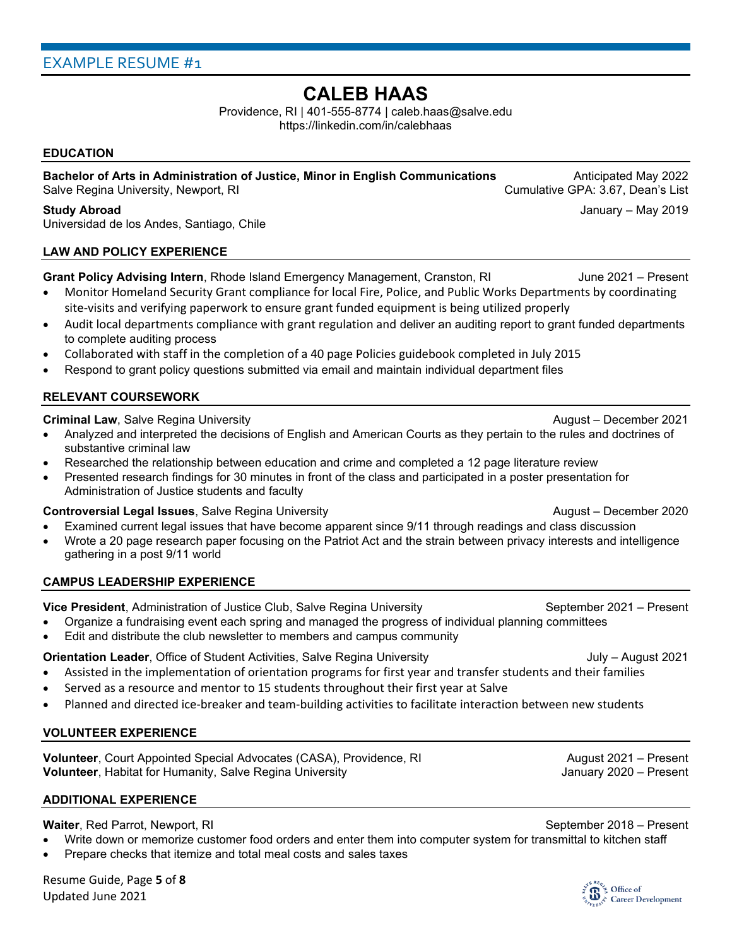# **CALEB HAAS**

Providence, RI | 401-555-8774 | caleb.haas@salve.edu https://linkedin.com/in/calebhaas

#### **EDUCATION**

Bachelor of Arts in Administration of Justice, Minor in English Communications **Anticipated May 2022**<br>Salve Regina University, Newport, RI Salve Regina University, Newport, RI

Universidad de los Andes, Santiago, Chile

#### **LAW AND POLICY EXPERIENCE**

Grant Policy Advising Intern, Rhode Island Emergency Management, Cranston, RI June 2021 – Present

- Monitor Homeland Security Grant compliance for local Fire, Police, and Public Works Departments by coordinating site-visits and verifying paperwork to ensure grant funded equipment is being utilized properly
- Audit local departments compliance with grant regulation and deliver an auditing report to grant funded departments to complete auditing process
- Collaborated with staff in the completion of a 40 page Policies guidebook completed in July 2015
- Respond to grant policy questions submitted via email and maintain individual department files

#### **RELEVANT COURSEWORK**

#### **Criminal Law**, Salve Regina University August – December 2021

- Analyzed and interpreted the decisions of English and American Courts as they pertain to the rules and doctrines of substantive criminal law
- Researched the relationship between education and crime and completed a 12 page literature review
- Presented research findings for 30 minutes in front of the class and participated in a poster presentation for Administration of Justice students and faculty

#### **Controversial Legal Issues**, Salve Regina University August – December 2020

- Examined current legal issues that have become apparent since 9/11 through readings and class discussion
- Wrote a 20 page research paper focusing on the Patriot Act and the strain between privacy interests and intelligence gathering in a post 9/11 world

#### **CAMPUS LEADERSHIP EXPERIENCE**

**Vice President**, Administration of Justice Club, Salve Regina University September 2021 – Present

- Organize a fundraising event each spring and managed the progress of individual planning committees
- Edit and distribute the club newsletter to members and campus community

#### **Orientation Leader**, Office of Student Activities, Salve Regina University **July – August 2021**

- Assisted in the implementation of orientation programs for first year and transfer students and their families
- Served as a resource and mentor to 15 students throughout their first year at Salve
- Planned and directed ice-breaker and team-building activities to facilitate interaction between new students

#### **VOLUNTEER EXPERIENCE**

**Volunteer**, Court Appointed Special Advocates (CASA), Providence, RI August 2021 – Present **Volunteer**, Habitat for Humanity, Salve Regina University **Julie 19th** January 2020 – Present

#### **ADDITIONAL EXPERIENCE**

**Waiter**, Red Parrot, Newport, RI September 2018 – Present

- Write down or memorize customer food orders and enter them into computer system for transmittal to kitchen staff
- Prepare checks that itemize and total meal costs and sales taxes



**Study Abroad** January – May 2019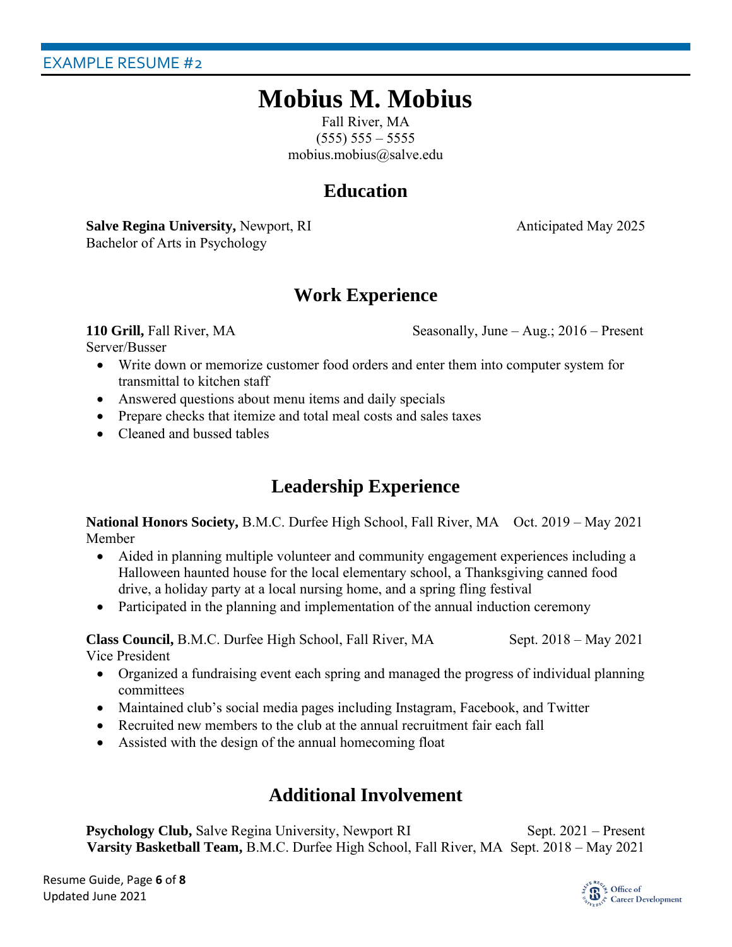# **Mobius M. Mobius**

Fall River, MA  $(555) 555 - 5555$ mobius.mobius@salve.edu

# **Education**

**Salve Regina University,** Newport, RI Anticipated May 2025 Bachelor of Arts in Psychology

# **Work Experience**

**110 Grill,** Fall River, MA Seasonally, June – Aug.; 2016 – Present

Server/Busser

- Write down or memorize customer food orders and enter them into computer system for transmittal to kitchen staff
- Answered questions about menu items and daily specials
- Prepare checks that itemize and total meal costs and sales taxes
- Cleaned and bussed tables

# **Leadership Experience**

**National Honors Society, B.M.C. Durfee High School, Fall River, MA Oct. 2019 – May 2021** Member

- Aided in planning multiple volunteer and community engagement experiences including a Halloween haunted house for the local elementary school, a Thanksgiving canned food drive, a holiday party at a local nursing home, and a spring fling festival
- Participated in the planning and implementation of the annual induction ceremony

**Class Council,** B.M.C. Durfee High School, Fall River, MA Sept. 2018 – May 2021 Vice President

- Organized a fundraising event each spring and managed the progress of individual planning committees
- Maintained club's social media pages including Instagram, Facebook, and Twitter
- Recruited new members to the club at the annual recruitment fair each fall
- Assisted with the design of the annual homecoming float

# **Additional Involvement**

**Psychology Club,** Salve Regina University, Newport RI Sept. 2021 – Present **Varsity Basketball Team,** B.M.C. Durfee High School, Fall River, MA Sept. 2018 – May 2021

Resume Guide, Page **6** of **8** Updated June 2021

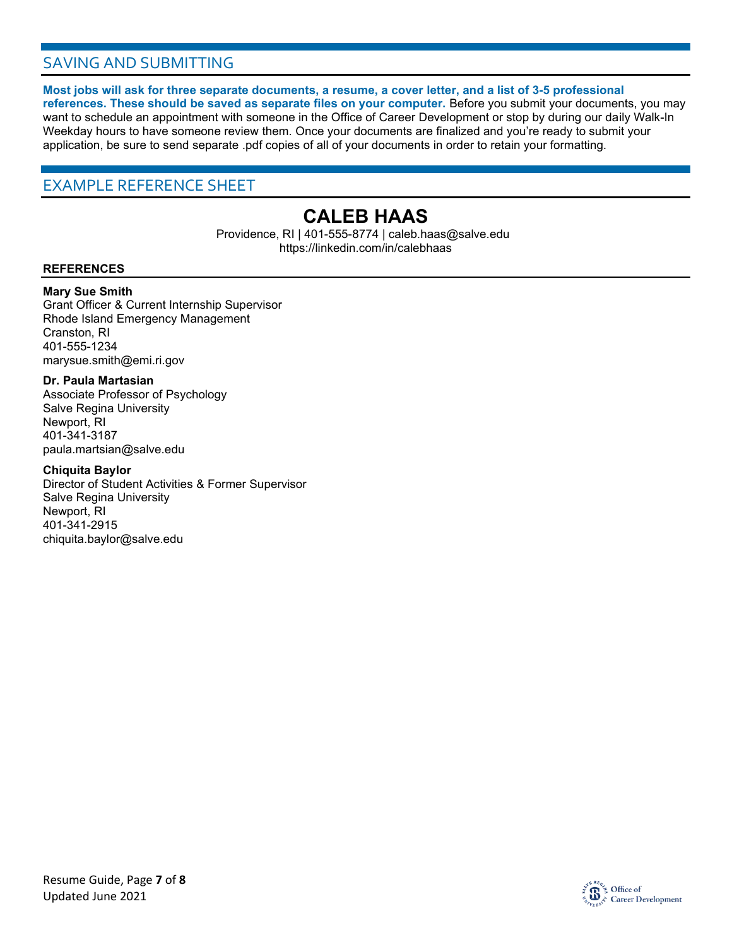# SAVING AND SUBMITTING

**Most jobs will ask for three separate documents, a resume, a cover letter, and a list of 3-5 professional references. These should be saved as separate files on your computer.** Before you submit your documents, you may want to schedule an appointment with someone in the Office of Career Development or stop by during our daily Walk-In Weekday hours to have someone review them. Once your documents are finalized and you're ready to submit your application, be sure to send separate .pdf copies of all of your documents in order to retain your formatting.

### EXAMPLE REFERENCE SHEET

# **CALEB HAAS**

Providence, RI | 401-555-8774 | caleb.haas@salve.edu https://linkedin.com/in/calebhaas

#### **REFERENCES**

#### **Mary Sue Smith**

Grant Officer & Current Internship Supervisor Rhode Island Emergency Management Cranston, RI 401-555-1234 marysue.smith@emi.ri.gov

#### **Dr. Paula Martasian**

Associate Professor of Psychology Salve Regina University Newport, RI 401-341-3187 paula.martsian@salve.edu

#### **Chiquita Baylor**

Director of Student Activities & Former Supervisor Salve Regina University Newport, RI 401-341-2915 chiquita.baylor@salve.edu